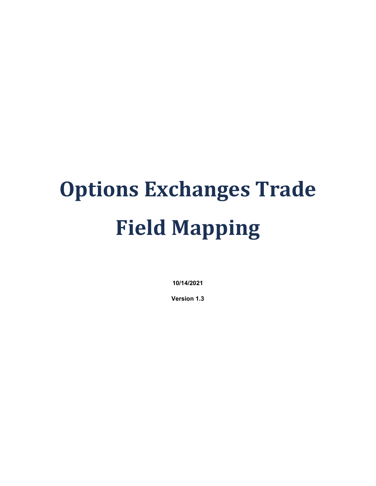# **Options Exchanges Trade Field Mapping**

**10/14/2021**

**Version 1.3**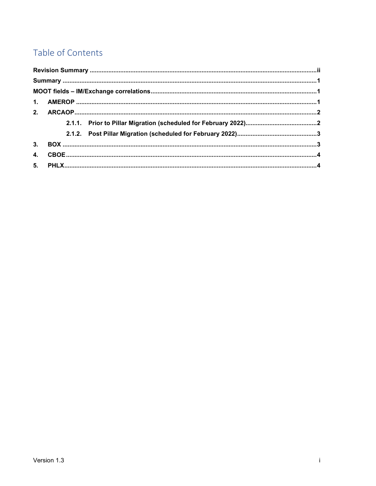# Table of Contents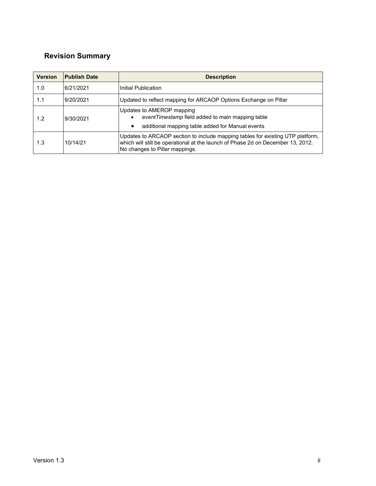## <span id="page-2-0"></span>**Revision Summary**

| <b>Version</b> | <b>Publish Date</b> | <b>Description</b>                                                                                                                                                                                  |  |
|----------------|---------------------|-----------------------------------------------------------------------------------------------------------------------------------------------------------------------------------------------------|--|
| 1.0            | 6/21/2021           | Initial Publication                                                                                                                                                                                 |  |
| 1.1            | 9/20/2021           | Updated to reflect mapping for ARCAOP Options Exchange on Pillar                                                                                                                                    |  |
| 1.2            | 9/30/2021           | Updates to AMEROP mapping<br>event Timestamp field added to main mapping table<br>$\bullet$<br>additional mapping table added for Manual events<br>$\bullet$                                        |  |
| 1.3            | 10/14/21            | Updates to ARCAOP section to include mapping tables for existing UTP platform,<br>which will still be operational at the launch of Phase 2d on December 13, 2012.<br>No changes to Pillar mappings. |  |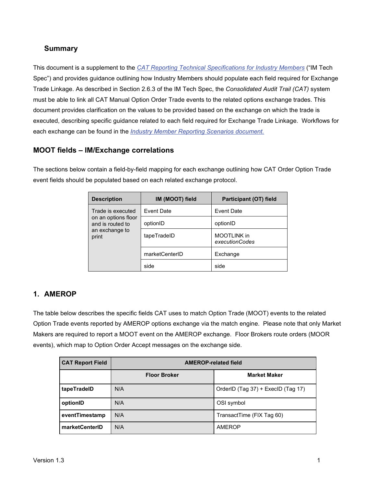#### <span id="page-3-0"></span>**Summary**

This document is a supplement to the *[CAT Reporting Technical Specifications for Industry Members](https://catnmsplan.com/specifications/im)* ("IM Tech Spec") and provides guidance outlining how Industry Members should populate each field required for Exchange Trade Linkage. As described in Section 2.6.3 of the IM Tech Spec, the *Consolidated Audit Trail (CAT)* system must be able to link all CAT Manual Option Order Trade events to the related options exchange trades. This document provides clarification on the values to be provided based on the exchange on which the trade is executed, describing specific guidance related to each field required for Exchange Trade Linkage. Workflows for each exchange can be found in the *[Industry Member Reporting Scenarios document.](https://www.catnmsplan.com/specifications/imreportingscenarios)*

#### <span id="page-3-1"></span>**MOOT fields – IM/Exchange correlations**

The sections below contain a field-by-field mapping for each exchange outlining how CAT Order Option Trade event fields should be populated based on each related exchange protocol.

| <b>Description</b>                      | IM (MOOT) field | Participant (OT) field               |
|-----------------------------------------|-----------------|--------------------------------------|
| Trade is executed                       | Event Date      | <b>Event Date</b>                    |
| on an options floor<br>and is routed to | optionID        | optionID                             |
| an exchange to<br>print                 | tapeTradeID     | <b>MOOTLINK</b> in<br>executionCodes |
|                                         | marketCenterID  | Exchange                             |
|                                         | side            | side                                 |

#### <span id="page-3-2"></span>**1. AMEROP**

The table below describes the specific fields CAT uses to match Option Trade (MOOT) events to the related Option Trade events reported by AMEROP options exchange via the match engine. Please note that only Market Makers are required to report a MOOT event on the AMEROP exchange. Floor Brokers route orders (MOOR events), which map to Option Order Accept messages on the exchange side.

| <b>CAT Report Field</b> | <b>AMEROP-related field</b> |                                    |
|-------------------------|-----------------------------|------------------------------------|
|                         | <b>Floor Broker</b>         | <b>Market Maker</b>                |
| tapeTradeID             | N/A                         | OrderID (Tag 37) + ExecID (Tag 17) |
| optionID                | N/A                         | OSI symbol                         |
| eventTimestamp          | N/A                         | TransactTime (FIX Tag 60)          |
| marketCenterID          | N/A                         | <b>AMEROP</b>                      |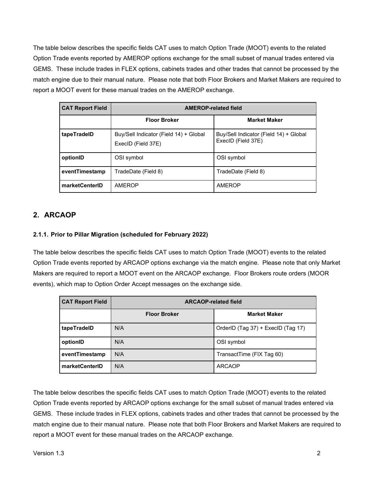The table below describes the specific fields CAT uses to match Option Trade (MOOT) events to the related Option Trade events reported by AMEROP options exchange for the small subset of manual trades entered via GEMS. These include trades in FLEX options, cabinets trades and other trades that cannot be processed by the match engine due to their manual nature. Please note that both Floor Brokers and Market Makers are required to report a MOOT event for these manual trades on the AMEROP exchange.

| <b>CAT Report Field</b> | <b>AMEROP-related field</b>                                  |                                                              |
|-------------------------|--------------------------------------------------------------|--------------------------------------------------------------|
|                         | <b>Floor Broker</b>                                          | <b>Market Maker</b>                                          |
| tapeTradeID             | Buy/Sell Indicator (Field 14) + Global<br>ExecID (Field 37E) | Buy/Sell Indicator (Field 14) + Global<br>ExecID (Field 37E) |
| optionID                | OSI symbol                                                   | OSI symbol                                                   |
| eventTimestamp          | TradeDate (Field 8)                                          | TradeDate (Field 8)                                          |
| marketCenterID          | <b>AMEROP</b>                                                | <b>AMEROP</b>                                                |

#### <span id="page-4-0"></span>**2. ARCAOP**

#### <span id="page-4-1"></span>**2.1.1. Prior to Pillar Migration (scheduled for February 2022)**

The table below describes the specific fields CAT uses to match Option Trade (MOOT) events to the related Option Trade events reported by ARCAOP options exchange via the match engine. Please note that only Market Makers are required to report a MOOT event on the ARCAOP exchange. Floor Brokers route orders (MOOR events), which map to Option Order Accept messages on the exchange side.

| <b>CAT Report Field</b> | <b>ARCAOP-related field</b> |                                    |
|-------------------------|-----------------------------|------------------------------------|
|                         | <b>Floor Broker</b>         | <b>Market Maker</b>                |
| tapeTradeID             | N/A                         | OrderID (Tag 37) + ExecID (Tag 17) |
| optionID                | N/A                         | OSI symbol                         |
| eventTimestamp          | N/A                         | TransactTime (FIX Tag 60)          |
| marketCenterID          | N/A                         | <b>ARCAOP</b>                      |

The table below describes the specific fields CAT uses to match Option Trade (MOOT) events to the related Option Trade events reported by ARCAOP options exchange for the small subset of manual trades entered via GEMS. These include trades in FLEX options, cabinets trades and other trades that cannot be processed by the match engine due to their manual nature. Please note that both Floor Brokers and Market Makers are required to report a MOOT event for these manual trades on the ARCAOP exchange.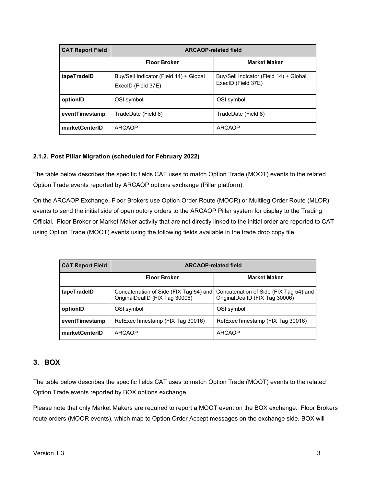| <b>CAT Report Field</b> | <b>ARCAOP-related field</b>                                  |                                                              |
|-------------------------|--------------------------------------------------------------|--------------------------------------------------------------|
|                         | <b>Floor Broker</b>                                          | <b>Market Maker</b>                                          |
| tapeTradeID             | Buy/Sell Indicator (Field 14) + Global<br>ExecID (Field 37E) | Buy/Sell Indicator (Field 14) + Global<br>ExecID (Field 37E) |
| optionID                | OSI symbol                                                   | OSI symbol                                                   |
| eventTimestamp          | TradeDate (Field 8)                                          | TradeDate (Field 8)                                          |
| marketCenterID          | <b>ARCAOP</b>                                                | <b>ARCAOP</b>                                                |

#### <span id="page-5-0"></span>**2.1.2. Post Pillar Migration (scheduled for February 2022)**

The table below describes the specific fields CAT uses to match Option Trade (MOOT) events to the related Option Trade events reported by ARCAOP options exchange (Pillar platform).

On the ARCAOP Exchange, Floor Brokers use Option Order Route (MOOR) or Multileg Order Route (MLOR) events to send the initial side of open outcry orders to the ARCAOP Pillar system for display to the Trading Official. Floor Broker or Market Maker activity that are not directly linked to the initial order are reported to CAT using Option Trade (MOOT) events using the following fields available in the trade drop copy file.

| <b>CAT Report Field</b> | <b>ARCAOP-related field</b>      |                                                                                                                 |
|-------------------------|----------------------------------|-----------------------------------------------------------------------------------------------------------------|
|                         | <b>Floor Broker</b>              | <b>Market Maker</b>                                                                                             |
| tapeTradeID             | OriginalDealID (FIX Tag 30006)   | Concatenation of Side (FIX Tag 54) and Concatenation of Side (FIX Tag 54) and<br>OriginalDealID (FIX Tag 30006) |
| optionID                | OSI symbol                       | OSI symbol                                                                                                      |
| eventTimestamp          | RefExecTimestamp (FIX Tag 30016) | RefExecTimestamp (FIX Tag 30016)                                                                                |
| marketCenterID          | <b>ARCAOP</b>                    | <b>ARCAOP</b>                                                                                                   |

#### <span id="page-5-1"></span>**3. BOX**

The table below describes the specific fields CAT uses to match Option Trade (MOOT) events to the related Option Trade events reported by BOX options exchange.

Please note that only Market Makers are required to report a MOOT event on the BOX exchange. Floor Brokers route orders (MOOR events), which map to Option Order Accept messages on the exchange side. BOX will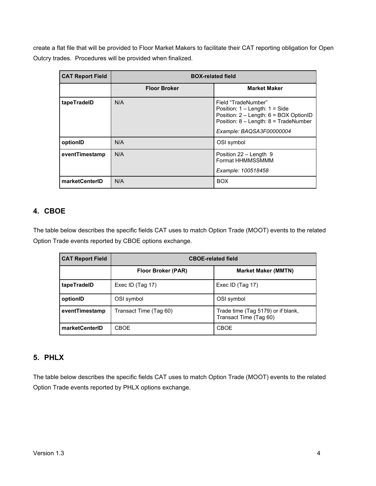create a flat file that will be provided to Floor Market Makers to facilitate their CAT reporting obligation for Open Outcry trades. Procedures will be provided when finalized.

| <b>CAT Report Field</b> | <b>BOX-related field</b> |                                                                                                                                                                              |
|-------------------------|--------------------------|------------------------------------------------------------------------------------------------------------------------------------------------------------------------------|
|                         | <b>Floor Broker</b>      | <b>Market Maker</b>                                                                                                                                                          |
| tapeTradeID             | N/A                      | Field "TradeNumber"<br>Position: $1 -$ Length: $1 =$ Side<br>Position: 2 - Length: 6 = BOX OptionID<br>Position: $8 -$ Length: $8 =$ TradeNumber<br>Example: BAQSA3F00000004 |
| optionID                | N/A                      | OSI symbol                                                                                                                                                                   |
| eventTimestamp          | N/A                      | Position 22 – Length 9<br>Format HHMMSSMMM<br>Example: 100518458                                                                                                             |
| marketCenterID          | N/A                      | <b>BOX</b>                                                                                                                                                                   |

## <span id="page-6-0"></span>**4. CBOE**

The table below describes the specific fields CAT uses to match Option Trade (MOOT) events to the related Option Trade events reported by CBOE options exchange.

| <b>CAT Report Field</b> | <b>CBOE-related field</b> |                                                              |
|-------------------------|---------------------------|--------------------------------------------------------------|
|                         | Floor Broker (PAR)        | <b>Market Maker (MMTN)</b>                                   |
| tapeTradeID             | Exec ID (Tag 17)          | Exec ID (Tag 17)                                             |
| optionID                | OSI symbol                | OSI symbol                                                   |
| eventTimestamp          | Transact Time (Tag 60)    | Trade time (Tag 5179) or if blank,<br>Transact Time (Tag 60) |
| marketCenterID          | CBOE                      | CBOE                                                         |

## <span id="page-6-1"></span>**5. PHLX**

The table below describes the specific fields CAT uses to match Option Trade (MOOT) events to the related Option Trade events reported by PHLX options exchange.